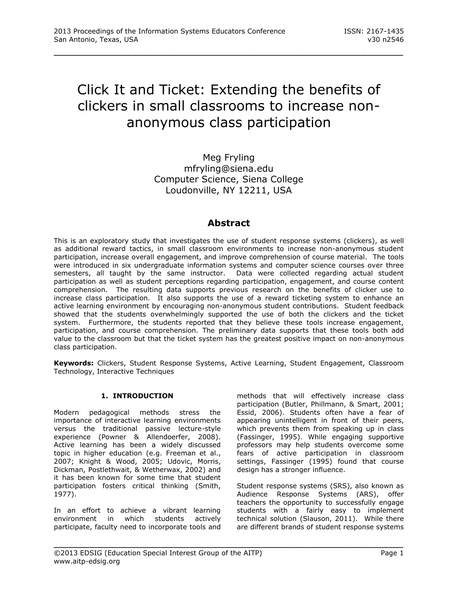# Click It and Ticket: Extending the benefits of clickers in small classrooms to increase nonanonymous class participation

\_\_\_\_\_\_\_\_\_\_\_\_\_\_\_\_\_\_\_\_\_\_\_\_\_\_\_\_\_\_\_\_\_\_\_\_\_\_\_\_\_\_\_\_\_\_\_\_\_

Meg Fryling mfryling@siena.edu Computer Science, Siena College Loudonville, NY 12211, USA

# **Abstract**

This is an exploratory study that investigates the use of student response systems (clickers), as well as additional reward tactics, in small classroom environments to increase non-anonymous student participation, increase overall engagement, and improve comprehension of course material. The tools were introduced in six undergraduate information systems and computer science courses over three semesters, all taught by the same instructor. Data were collected regarding actual student participation as well as student perceptions regarding participation, engagement, and course content comprehension. The resulting data supports previous research on the benefits of clicker use to increase class participation. It also supports the use of a reward ticketing system to enhance an active learning environment by encouraging non-anonymous student contributions. Student feedback showed that the students overwhelmingly supported the use of both the clickers and the ticket system. Furthermore, the students reported that they believe these tools increase engagement, participation, and course comprehension. The preliminary data supports that these tools both add value to the classroom but that the ticket system has the greatest positive impact on non-anonymous class participation.

**Keywords:** Clickers, Student Response Systems, Active Learning, Student Engagement, Classroom Technology, Interactive Techniques

\_\_\_\_\_\_\_\_\_\_\_\_\_\_\_\_\_\_\_\_\_\_\_\_\_\_\_\_\_\_\_\_\_\_\_\_\_\_\_\_\_\_\_\_\_\_\_\_\_

### **1. INTRODUCTION**

Modern pedagogical methods stress the importance of interactive learning environments versus the traditional passive lecture-style experience [\(Powner & Allendoerfer, 2008\)](#page-6-0). Active learning has been a widely discussed topic in higher education (e.g. [Freeman et al.,](#page-5-0)  [2007;](#page-5-0) [Knight & Wood, 2005;](#page-5-1) [Udovic, Morris,](#page-6-1)  [Dickman, Postlethwait, & Wetherwax, 2002\)](#page-6-1) and it has been known for some time that student participation fosters critical thinking [\(Smith,](#page-6-2)  [1977\)](#page-6-2).

In an effort to achieve a vibrant learning environment in which students actively participate, faculty need to incorporate tools and

methods that will effectively increase class participation [\(Butler, Phillmann, & Smart, 2001;](#page-5-2) [Essid, 2006\)](#page-5-3). Students often have a fear of appearing unintelligent in front of their peers, which prevents them from speaking up in class [\(Fassinger, 1995\)](#page-5-4). While engaging supportive professors may help students overcome some fears of active participation in classroom settings, Fassinger [\(1995\)](#page-5-4) found that course design has a stronger influence.

Student response systems (SRS), also known as Audience Response Systems (ARS), offer teachers the opportunity to successfully engage students with a fairly easy to implement technical solution [\(Slauson, 2011\)](#page-6-3). While there are different brands of student response systems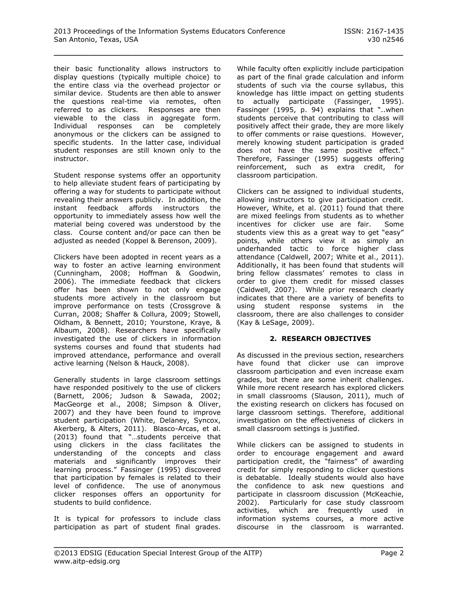their basic functionality allows instructors to display questions (typically multiple choice) to the entire class via the overhead projector or similar device. Students are then able to answer the questions real-time via remotes, often referred to as clickers. Responses are then viewable to the class in aggregate form. Individual responses can be completely anonymous or the clickers can be assigned to specific students. In the latter case, individual student responses are still known only to the instructor.

Student response systems offer an opportunity to help alleviate student fears of participating by offering a way for students to participate without revealing their answers publicly. In addition, the instant feedback affords instructors the opportunity to immediately assess how well the material being covered was understood by the class. Course content and/or pace can then be adjusted as needed [\(Koppel & Berenson, 2009\)](#page-5-5).

Clickers have been adopted in recent years as a way to foster an active learning environment [\(Cunningham, 2008;](#page-5-6) [Hoffman & Goodwin,](#page-5-7)  [2006\)](#page-5-7). The immediate feedback that clickers offer has been shown to not only engage students more actively in the classroom but improve performance on tests [\(Crossgrove &](#page-5-8)  [Curran, 2008;](#page-5-8) [Shaffer & Collura, 2009;](#page-6-4) [Stowell,](#page-6-5)  [Oldham, & Bennett, 2010;](#page-6-5) [Yourstone, Kraye, &](#page-6-6)  [Albaum, 2008\)](#page-6-6). Researchers have specifically investigated the use of clickers in information systems courses and found that students had improved attendance, performance and overall active learning [\(Nelson & Hauck, 2008\)](#page-6-7).

Generally students in large classroom settings have responded positively to the use of clickers [\(Barnett, 2006;](#page-5-9) [Judson & Sawada, 2002;](#page-5-10) [MacGeorge et al., 2008;](#page-5-11) [Simpson & Oliver,](#page-6-8)  [2007\)](#page-6-8) and they have been found to improve student participation [\(White, Delaney, Syncox,](#page-6-9)  [Akerberg, & Alters, 2011\)](#page-6-9). Blasco-Arcas, et al. [\(2013\)](#page-5-12) found that "…students perceive that using clickers in the class facilitates the understanding of the concepts and class materials and significantly improves their learning process." Fassinger [\(1995\)](#page-5-4) discovered that participation by females is related to their level of confidence. The use of anonymous clicker responses offers an opportunity for students to build confidence.

It is typical for professors to include class participation as part of student final grades. While faculty often explicitly include participation as part of the final grade calculation and inform students of such via the course syllabus, this knowledge has little impact on getting students to actually participate [\(Fassinger, 1995\)](#page-5-4). Fassinger [\(1995, p. 94\)](#page-5-4) explains that "..when students perceive that contributing to class will positively affect their grade, they are more likely to offer comments or raise questions. However, merely knowing student participation is graded does not have the same positive effect." Therefore, Fassinger [\(1995\)](#page-5-4) suggests offering reinforcement, such as extra credit, for classroom participation.

Clickers can be assigned to individual students, allowing instructors to give participation credit. However, White, et al. [\(2011\)](#page-6-9) found that there are mixed feelings from students as to whether incentives for clicker use are fair. Some students view this as a great way to get "easy" points, while others view it as simply an underhanded tactic to force higher class attendance [\(Caldwell, 2007;](#page-5-13) [White et al., 2011\)](#page-6-9). Additionally, it has been found that students will bring fellow classmates' remotes to class in order to give them credit for missed classes [\(Caldwell, 2007\)](#page-5-13). While prior research clearly indicates that there are a variety of benefits to using student response systems in the classroom, there are also challenges to consider [\(Kay & LeSage, 2009\)](#page-5-14).

### **2. RESEARCH OBJECTIVES**

As discussed in the previous section, researchers have found that clicker use can improve classroom participation and even increase exam grades, but there are some inherit challenges. While more recent research has explored clickers in small classrooms [\(Slauson, 2011\)](#page-6-3), much of the existing research on clickers has focused on large classroom settings. Therefore, additional investigation on the effectiveness of clickers in small classroom settings is justified.

While clickers can be assigned to students in order to encourage engagement and award participation credit, the "fairness" of awarding credit for simply responding to clicker questions is debatable. Ideally students would also have the confidence to ask new questions and participate in classroom discussion [\(McKeachie,](#page-6-10)  [2002\)](#page-6-10). Particularly for case study classroom activities, which are frequently used in information systems courses, a more active discourse in the classroom is warranted.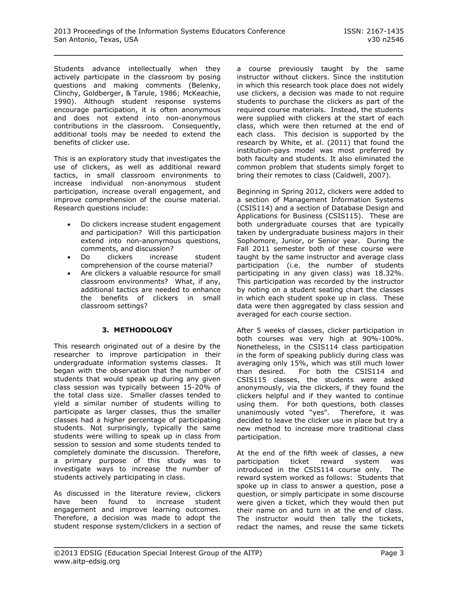Students advance intellectually when they actively participate in the classroom by posing questions and making comments [\(Belenky,](#page-5-15)  [Clinchy, Goldberger, & Tarule, 1986;](#page-5-15) [McKeachie,](#page-5-16)  [1990\)](#page-5-16). Although student response systems encourage participation, it is often anonymous and does not extend into non-anonymous contributions in the classroom. Consequently, additional tools may be needed to extend the benefits of clicker use.

This is an exploratory study that investigates the use of clickers, as well as additional reward tactics, in small classroom environments to increase individual non-anonymous student participation, increase overall engagement, and improve comprehension of the course material. Research questions include:

- Do clickers increase student engagement and participation? Will this participation extend into non-anonymous questions, comments, and discussion?
- Do clickers increase student comprehension of the course material?
- Are clickers a valuable resource for small classroom environments? What, if any, additional tactics are needed to enhance the benefits of clickers in small classroom settings?

### **3. METHODOLOGY**

This research originated out of a desire by the researcher to improve participation in their undergraduate information systems classes. It began with the observation that the number of students that would speak up during any given class session was typically between 15-20% of the total class size. Smaller classes tended to yield a similar number of students willing to participate as larger classes, thus the smaller classes had a higher percentage of participating students. Not surprisingly, typically the same students were willing to speak up in class from session to session and some students tended to completely dominate the discussion. Therefore, a primary purpose of this study was to investigate ways to increase the number of students actively participating in class.

As discussed in the literature review, clickers have been found to increase student engagement and improve learning outcomes. Therefore, a decision was made to adopt the student response system/clickers in a section of a course previously taught by the same instructor without clickers. Since the institution in which this research took place does not widely use clickers, a decision was made to not require students to purchase the clickers as part of the required course materials. Instead, the students were supplied with clickers at the start of each class, which were then returned at the end of each class. This decision is supported by the research by White, et al. [\(2011\)](#page-6-9) that found the institution-pays model was most preferred by both faculty and students. It also eliminated the common problem that students simply forget to bring their remotes to class [\(Caldwell, 2007\)](#page-5-13).

Beginning in Spring 2012, clickers were added to a section of Management Information Systems (CSIS114) and a section of Database Design and Applications for Business (CSIS115). These are both undergraduate courses that are typically taken by undergraduate business majors in their Sophomore, Junior, or Senior year. During the Fall 2011 semester both of these course were taught by the same instructor and average class participation (i.e. the number of students participating in any given class) was 18.32%. This participation was recorded by the instructor by noting on a student seating chart the classes in which each student spoke up in class. These data were then aggregated by class session and averaged for each course section.

After 5 weeks of classes, clicker participation in both courses was very high at 90%-100%. Nonetheless, in the CSIS114 class participation in the form of speaking publicly during class was averaging only 15%, which was still much lower than desired. For both the CSIS114 and CSIS115 classes, the students were asked anonymously, via the clickers, if they found the clickers helpful and if they wanted to continue using them. For both questions, both classes unanimously voted "yes". Therefore, it was decided to leave the clicker use in place but try a new method to increase more traditional class participation.

At the end of the fifth week of classes, a new participation ticket reward system was introduced in the CSIS114 course only. The reward system worked as follows: Students that spoke up in class to answer a question, pose a question, or simply participate in some discourse were given a ticket, which they would then put their name on and turn in at the end of class. The instructor would then tally the tickets, redact the names, and reuse the same tickets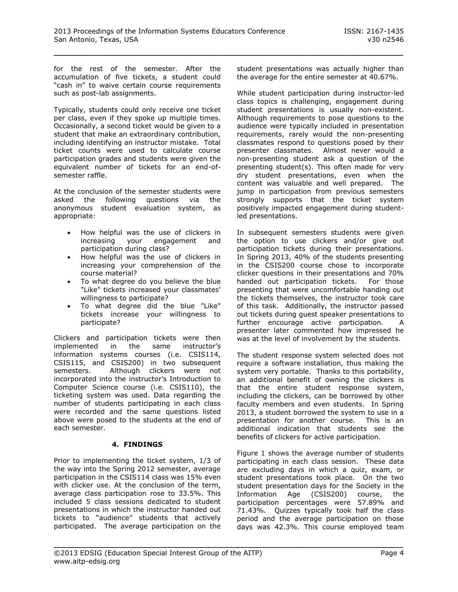for the rest of the semester. After the accumulation of five tickets, a student could "cash in" to waive certain course requirements such as post-lab assignments.

Typically, students could only receive one ticket per class, even if they spoke up multiple times. Occasionally, a second ticket would be given to a student that make an extraordinary contribution, including identifying an instructor mistake. Total ticket counts were used to calculate course participation grades and students were given the equivalent number of tickets for an end-ofsemester raffle.

At the conclusion of the semester students were asked the following questions via the anonymous student evaluation system, as appropriate:

- How helpful was the use of clickers in increasing your engagement and participation during class?
- How helpful was the use of clickers in increasing your comprehension of the course material?
- To what degree do you believe the blue "Like" tickets increased your classmates' willingness to participate?
- To what degree did the blue "Like" tickets increase your willingness to participate?

Clickers and participation tickets were then implemented in the same instructor's information systems courses (i.e. CSIS114, CSIS115, and CSIS200) in two subsequent semesters. Although clickers were not incorporated into the instructor's Introduction to Computer Science course (i.e. CSIS110), the ticketing system was used. Data regarding the number of students participating in each class were recorded and the same questions listed above were posed to the students at the end of each semester.

### **4. FINDINGS**

Prior to implementing the ticket system, 1/3 of the way into the Spring 2012 semester, average participation in the CSIS114 class was 15% even with clicker use. At the conclusion of the term, average class participation rose to 33.5%. This included 5 class sessions dedicated to student presentations in which the instructor handed out tickets to "audience" students that actively participated. The average participation on the student presentations was actually higher than the average for the entire semester at 40.67%.

While student participation during instructor-led class topics is challenging, engagement during student presentations is usually non-existent. Although requirements to pose questions to the audience were typically included in presentation requirements, rarely would the non-presenting classmates respond to questions posed by their presenter classmates. Almost never would a non-presenting student ask a question of the presenting student(s). This often made for very dry student presentations, even when the content was valuable and well prepared. The jump in participation from previous semesters strongly supports that the ticket system positively impacted engagement during studentled presentations.

In subsequent semesters students were given the option to use clickers and/or give out participation tickets during their presentations. In Spring 2013, 40% of the students presenting in the CSIS200 course chose to incorporate clicker questions in their presentations and 70% handed out participation tickets. For those presenting that were uncomfortable handing out the tickets themselves, the instructor took care of this task. Additionally, the instructor passed out tickets during guest speaker presentations to further encourage active participation. A presenter later commented how impressed he was at the level of involvement by the students.

The student response system selected does not require a software installation, thus making the system very portable. Thanks to this portability, an additional benefit of owning the clickers is that the entire student response system, including the clickers, can be borrowed by other faculty members and even students. In Spring 2013, a student borrowed the system to use in a presentation for another course. This is an additional indication that students see the benefits of clickers for active participation.

Figure 1 shows the average number of students participating in each class session. These data are excluding days in which a quiz, exam, or student presentations took place. On the two student presentation days for the Society in the Information Age (CSIS200) course, the participation percentages were 57.89% and 71.43%. Quizzes typically took half the class period and the average participation on those days was 42.3%. This course employed team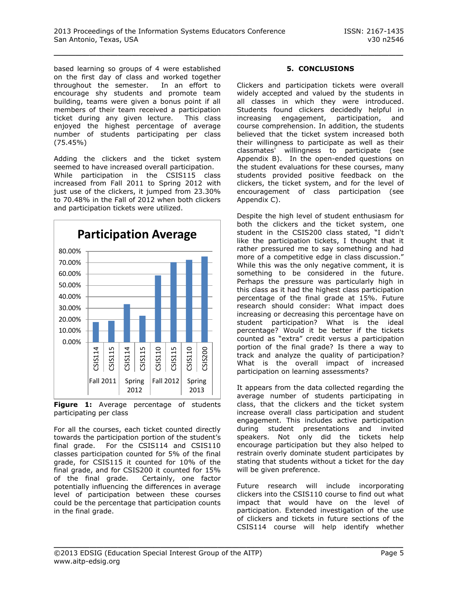based learning so groups of 4 were established on the first day of class and worked together throughout the semester. In an effort to encourage shy students and promote team building, teams were given a bonus point if all members of their team received a participation ticket during any given lecture. This class enjoyed the highest percentage of average number of students participating per class (75.45%)

Adding the clickers and the ticket system seemed to have increased overall participation. While participation in the CSIS115 class increased from Fall 2011 to Spring 2012 with just use of the clickers, it jumped from 23.30% to 70.48% in the Fall of 2012 when both clickers and participation tickets were utilized.



**Figure 1:** Average percentage of students participating per class

For all the courses, each ticket counted directly towards the participation portion of the student's final grade. For the CSIS114 and CSIS110 classes participation counted for 5% of the final grade, for CSIS115 it counted for 10% of the final grade, and for CSIS200 it counted for 15% of the final grade. Certainly, one factor potentially influencing the differences in average level of participation between these courses could be the percentage that participation counts in the final grade.

# **5. CONCLUSIONS**

Clickers and participation tickets were overall widely accepted and valued by the students in all classes in which they were introduced. Students found clickers decidedly helpful in increasing engagement, participation, and course comprehension. In addition, the students believed that the ticket system increased both their willingness to participate as well as their classmates' willingness to participate (see Appendix B). In the open-ended questions on the student evaluations for these courses, many students provided positive feedback on the clickers, the ticket system, and for the level of encouragement of class participation (see Appendix C).

Despite the high level of student enthusiasm for both the clickers and the ticket system, one student in the CSIS200 class stated, "I didn't like the participation tickets, I thought that it rather pressured me to say something and had more of a competitive edge in class discussion." While this was the only negative comment, it is something to be considered in the future. Perhaps the pressure was particularly high in this class as it had the highest class participation percentage of the final grade at 15%. Future research should consider: What impact does increasing or decreasing this percentage have on student participation? What is the ideal percentage? Would it be better if the tickets counted as "extra" credit versus a participation portion of the final grade? Is there a way to track and analyze the quality of participation? What is the overall impact of increased participation on learning assessments?

It appears from the data collected regarding the average number of students participating in class, that the clickers and the ticket system increase overall class participation and student engagement. This includes active participation during student presentations and invited speakers. Not only did the tickets help encourage participation but they also helped to restrain overly dominate student participates by stating that students without a ticket for the day will be given preference.

Future research will include incorporating clickers into the CSIS110 course to find out what impact that would have on the level of participation. Extended investigation of the use of clickers and tickets in future sections of the CSIS114 course will help identify whether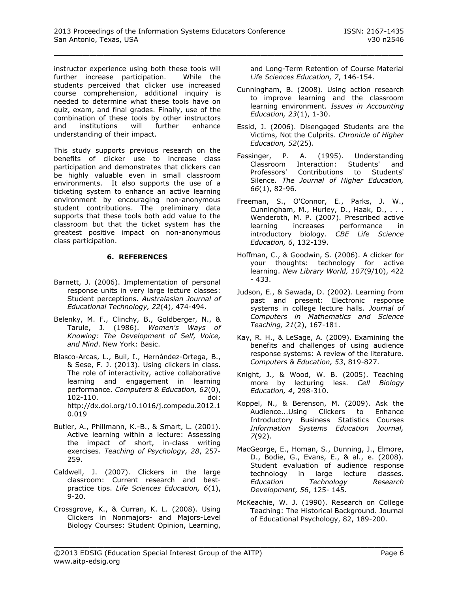instructor experience using both these tools will further increase participation. While the students perceived that clicker use increased course comprehension, additional inquiry is needed to determine what these tools have on quiz, exam, and final grades. Finally, use of the combination of these tools by other instructors and institutions will further enhance understanding of their impact.

This study supports previous research on the benefits of clicker use to increase class participation and demonstrates that clickers can be highly valuable even in small classroom environments. It also supports the use of a ticketing system to enhance an active learning environment by encouraging non-anonymous student contributions. The preliminary data supports that these tools both add value to the classroom but that the ticket system has the greatest positive impact on non-anonymous class participation.

### **6. REFERENCES**

- <span id="page-5-9"></span>Barnett, J. (2006). Implementation of personal response units in very large lecture classes: Student perceptions. *Australasian Journal of Educational Technology, 22*(4), 474-494.
- <span id="page-5-15"></span>Belenky, M. F., Clinchy, B., Goldberger, N., & Tarule, J. (1986). *Women's Ways of Knowing: The Development of Self, Voice, and Mind*. New York: Basic.
- <span id="page-5-12"></span>Blasco-Arcas, L., Buil, I., Hernández-Ortega, B., & Sese, F. J. (2013). Using clickers in class. The role of interactivity, active collaborative learning and engagement in learning performance. *Computers & Education, 62*(0), 102-110. doi: [http://dx.doi.org/10.1016/j.compedu.2012.1](http://dx.doi.org/10.1016/j.compedu.2012.10.019) [0.019](http://dx.doi.org/10.1016/j.compedu.2012.10.019)
- <span id="page-5-2"></span>Butler, A., Phillmann, K.-B., & Smart, L. (2001). Active learning within a lecture: Assessing the impact of short, in-class writing exercises. *Teaching of Psychology, 28*, 257- 259.
- <span id="page-5-13"></span>Caldwell, J. (2007). Clickers in the large classroom: Current research and bestpractice tips. *Life Sciences Education, 6*(1), 9-20.
- <span id="page-5-8"></span>Crossgrove, K., & Curran, K. L. (2008). Using Clickers in Nonmajors- and Majors-Level Biology Courses: Student Opinion, Learning,

and Long-Term Retention of Course Material *Life Sciences Education, 7*, 146-154.

- <span id="page-5-6"></span>Cunningham, B. (2008). Using action research to improve learning and the classroom learning environment. *Issues in Accounting Education, 23*(1), 1-30.
- <span id="page-5-3"></span>Essid, J. (2006). Disengaged Students are the Victims, Not the Culprits. *Chronicle of Higher Education, 52*(25).
- <span id="page-5-4"></span>Fassinger, P. A. (1995). Understanding Classroom Interaction: Students' and Professors' Contributions to Students' Silence. *The Journal of Higher Education, 66*(1), 82-96.
- <span id="page-5-0"></span>Freeman, S., O'Connor, E., Parks, J. W., Cunningham, M., Hurley, D., Haak, D., . . . Wenderoth, M. P. (2007). Prescribed active learning increases performance in introductory biology. *CBE Life Science Education, 6*, 132-139.
- <span id="page-5-7"></span>Hoffman, C., & Goodwin, S. (2006). A clicker for your thoughts: technology for active learning. *New Library World, 107*(9/10), 422 - 433.
- <span id="page-5-10"></span>Judson, E., & Sawada, D. (2002). Learning from past and present: Electronic response systems in college lecture halls. *Journal of Computers in Mathematics and Science Teaching, 21*(2), 167-181.
- <span id="page-5-14"></span>Kay, R. H., & LeSage, A. (2009). Examining the benefits and challenges of using audience response systems: A review of the literature. *Computers & Education, 53*, 819-827.
- <span id="page-5-1"></span>Knight, J., & Wood, W. B. (2005). Teaching more by lecturing less. *Cell Biology Education, 4*, 298-310.
- <span id="page-5-5"></span>Koppel, N., & Berenson, M. (2009). Ask the Audience...Using Clickers to Enhance Introductory Business Statistics Courses *Information Systems Education Journal, 7*(92).
- <span id="page-5-11"></span>MacGeorge, E., Homan, S., Dunning, J., Elmore, D., Bodie, G., Evans, E., & al., e. (2008). Student evaluation of audience response technology in large lecture classes. *Education Technology Research Development, 56*, 125- 145.
- <span id="page-5-16"></span>McKeachie, W. J. (1990). Research on College Teaching: The Historical Background. Journal of Educational Psychology, 82, 189-200.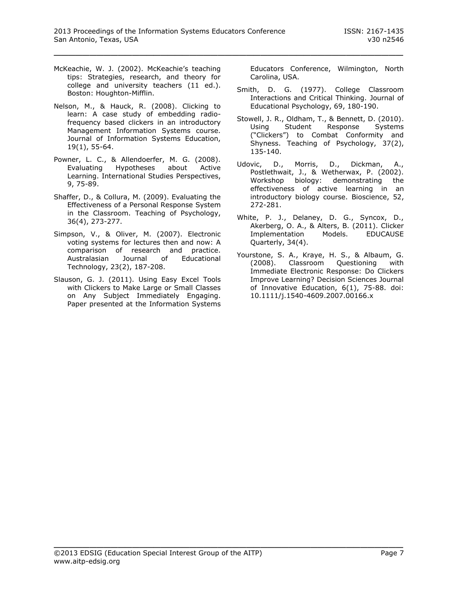- <span id="page-6-10"></span>McKeachie, W. J. (2002). McKeachie's teaching tips: Strategies, research, and theory for college and university teachers (11 ed.). Boston: Houghton-Mifflin.
- <span id="page-6-7"></span>Nelson, M., & Hauck, R. (2008). Clicking to learn: A case study of embedding radiofrequency based clickers in an introductory Management Information Systems course. Journal of Information Systems Education, 19(1), 55-64.
- <span id="page-6-0"></span>Powner, L. C., & Allendoerfer, M. G. (2008). Evaluating Hypotheses about Active Learning. International Studies Perspectives, 9, 75-89.
- <span id="page-6-4"></span>Shaffer, D., & Collura, M. (2009). Evaluating the Effectiveness of a Personal Response System in the Classroom. Teaching of Psychology, 36(4), 273-277.
- <span id="page-6-8"></span>Simpson, V., & Oliver, M. (2007). Electronic voting systems for lectures then and now: A comparison of research and practice. Australasian Journal of Educational Technology, 23(2), 187-208.
- <span id="page-6-3"></span>Slauson, G. J. (2011). Using Easy Excel Tools with Clickers to Make Large or Small Classes on Any Subject Immediately Engaging. Paper presented at the Information Systems

Educators Conference, Wilmington, North Carolina, USA.

- <span id="page-6-2"></span>Smith, D. G. (1977). College Classroom Interactions and Critical Thinking. Journal of Educational Psychology, 69, 180-190.
- <span id="page-6-5"></span>Stowell, J. R., Oldham, T., & Bennett, D. (2010). Using Student Response Systems ("Clickers") to Combat Conformity and Shyness. Teaching of Psychology, 37(2), 135-140.
- <span id="page-6-1"></span>Udovic, D., Morris, D., Dickman, A., Postlethwait, J., & Wetherwax, P. (2002). Workshop biology: demonstrating the effectiveness of active learning in an introductory biology course. Bioscience, 52, 272-281.
- <span id="page-6-9"></span>White, P. J., Delaney, D. G., Syncox, D., Akerberg, O. A., & Alters, B. (2011). Clicker Implementation Models. EDUCAUSE Quarterly, 34(4).
- <span id="page-6-6"></span>Yourstone, S. A., Kraye, H. S., & Albaum, G. (2008). Classroom Questioning with Immediate Electronic Response: Do Clickers Improve Learning? Decision Sciences Journal of Innovative Education, 6(1), 75-88. doi: 10.1111/j.1540-4609.2007.00166.x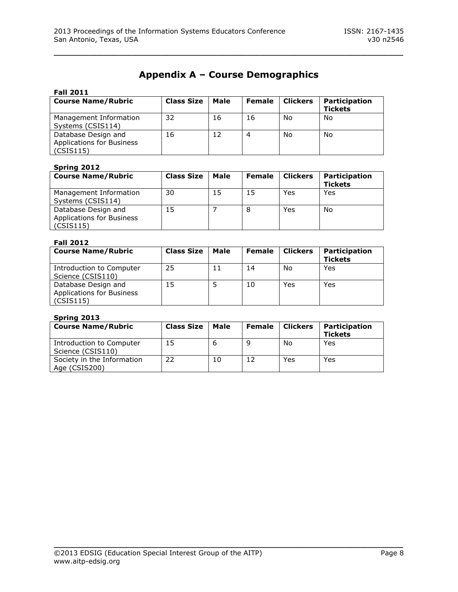# **Appendix A – Course Demographics**

\_\_\_\_\_\_\_\_\_\_\_\_\_\_\_\_\_\_\_\_\_\_\_\_\_\_\_\_\_\_\_\_\_\_\_\_\_\_\_\_\_\_\_\_\_\_\_\_\_

| <b>Fall 2011</b>                                              |                   |      |               |                 |                                 |
|---------------------------------------------------------------|-------------------|------|---------------|-----------------|---------------------------------|
| <b>Course Name/Rubric</b>                                     | <b>Class Size</b> | Male | <b>Female</b> | <b>Clickers</b> | Participation<br><b>Tickets</b> |
| Management Information<br>Systems (CSIS114)                   | 32                | 16   | 16            | No              | No                              |
| Database Design and<br>Applications for Business<br>(CSIS115) | 16                | 12   | 4             | No              | No                              |

# **Spring 2012**

| ------                                                               |                   |      |               |          |                                 |
|----------------------------------------------------------------------|-------------------|------|---------------|----------|---------------------------------|
| <b>Course Name/Rubric</b>                                            | <b>Class Size</b> | Male | <b>Female</b> | Clickers | Participation<br><b>Tickets</b> |
| Management Information<br>Systems (CSIS114)                          | 30                | 15   | 15            | Yes      | Yes                             |
| Database Design and<br><b>Applications for Business</b><br>(CSIS115) | 15                |      | 8             | Yes      | No                              |

### **Fall 2012**

| <b>Course Name/Rubric</b>                                            | <b>Class Size</b> | Male | <b>Female</b> | <b>Clickers</b> | Participation<br><b>Tickets</b> |
|----------------------------------------------------------------------|-------------------|------|---------------|-----------------|---------------------------------|
| Introduction to Computer<br>Science (CSIS110)                        | 25                |      | 14            | No              | Yes                             |
| Database Design and<br><b>Applications for Business</b><br>(CSIS115) | 15                |      | 10            | Yes             | Yes                             |

# **Spring 2013**

| <b>Course Name/Rubric</b>                     | <b>Class Size</b> | <b>Male</b> | <b>Female</b> | <b>Clickers</b> | Participation<br><b>Tickets</b> |
|-----------------------------------------------|-------------------|-------------|---------------|-----------------|---------------------------------|
| Introduction to Computer<br>Science (CSIS110) | 15                |             |               | No              | Yes                             |
| Society in the Information<br>Age (CSIS200)   | 22                | 10          |               | Yes             | Yes                             |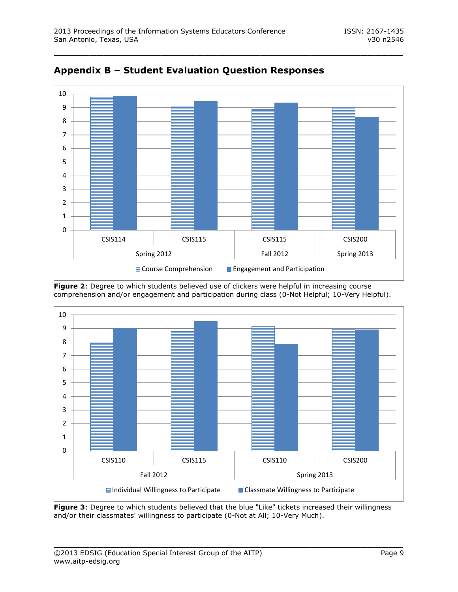



**Figure 2**: Degree to which students believed use of clickers were helpful in increasing course comprehension and/or engagement and participation during class (0-Not Helpful; 10-Very Helpful).



**Figure 3**: Degree to which students believed that the blue "Like" tickets increased their willingness and/or their classmates' willingness to participate (0-Not at All; 10-Very Much).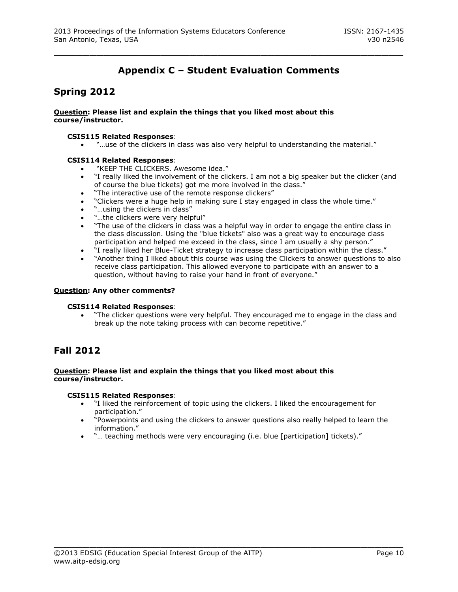# **Appendix C – Student Evaluation Comments**

\_\_\_\_\_\_\_\_\_\_\_\_\_\_\_\_\_\_\_\_\_\_\_\_\_\_\_\_\_\_\_\_\_\_\_\_\_\_\_\_\_\_\_\_\_\_\_\_\_

# **Spring 2012**

#### **Question: Please list and explain the things that you liked most about this course/instructor.**

#### **CSIS115 Related Responses**:

"…use of the clickers in class was also very helpful to understanding the material."

#### **CSIS114 Related Responses**:

- "KEEP THE CLICKERS. Awesome idea."<br>• "I really liked the involvement of the cli-
- "I really liked the involvement of the clickers. I am not a big speaker but the clicker (and of course the blue tickets) got me more involved in the class."
- . "The interactive use of the remote response clickers"
- "Clickers were a huge help in making sure I stay engaged in class the whole time."
- "…using the clickers in class"
- "…the clickers were very helpful"
- "The use of the clickers in class was a helpful way in order to engage the entire class in the class discussion. Using the "blue tickets" also was a great way to encourage class participation and helped me exceed in the class, since I am usually a shy person."
- "I really liked her Blue-Ticket strategy to increase class participation within the class."
- "Another thing I liked about this course was using the Clickers to answer questions to also receive class participation. This allowed everyone to participate with an answer to a question, without having to raise your hand in front of everyone."

#### **Question: Any other comments?**

#### **CSIS114 Related Responses**:

 "The clicker questions were very helpful. They encouraged me to engage in the class and break up the note taking process with can become repetitive."

# **Fall 2012**

#### **Question: Please list and explain the things that you liked most about this course/instructor.**

### **CSIS115 Related Responses**:

 "I liked the reinforcement of topic using the clickers. I liked the encouragement for participation."

- "Powerpoints and using the clickers to answer questions also really helped to learn the information."
- "… teaching methods were very encouraging (i.e. blue [participation] tickets)."